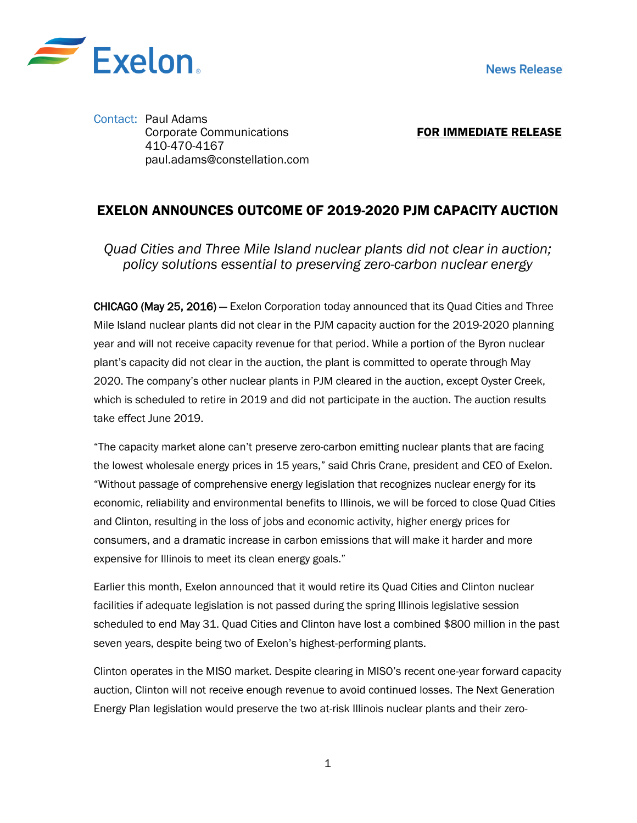

Contact: Paul Adams Corporate Communications 410-470-4167 paul.adams@constellation.com

FOR IMMEDIATE RELEASE

## EXELON ANNOUNCES OUTCOME OF 2019-2020 PJM CAPACITY AUCTION

*Quad Cities and Three Mile Island nuclear plants did not clear in auction; policy solutions essential to preserving zero-carbon nuclear energy*

CHICAGO (May 25, 2016) — Exelon Corporation today announced that its Quad Cities and Three Mile Island nuclear plants did not clear in the PJM capacity auction for the 2019-2020 planning year and will not receive capacity revenue for that period. While a portion of the Byron nuclear plant's capacity did not clear in the auction, the plant is committed to operate through May 2020. The company's other nuclear plants in PJM cleared in the auction, except Oyster Creek, which is scheduled to retire in 2019 and did not participate in the auction. The auction results take effect June 2019.

"The capacity market alone can't preserve zero-carbon emitting nuclear plants that are facing the lowest wholesale energy prices in 15 years," said Chris Crane, president and CEO of Exelon. "Without passage of comprehensive energy legislation that recognizes nuclear energy for its economic, reliability and environmental benefits to Illinois, we will be forced to close Quad Cities and Clinton, resulting in the loss of jobs and economic activity, higher energy prices for consumers, and a dramatic increase in carbon emissions that will make it harder and more expensive for Illinois to meet its clean energy goals."

Earlier this month, Exelon announced that it would retire its Quad Cities and Clinton nuclear facilities if adequate legislation is not passed during the spring Illinois legislative session scheduled to end May 31. Quad Cities and Clinton have lost a combined \$800 million in the past seven years, despite being two of Exelon's highest-performing plants.

Clinton operates in the MISO market. Despite clearing in MISO's recent one-year forward capacity auction, Clinton will not receive enough revenue to avoid continued losses. The Next Generation Energy Plan legislation would preserve the two at-risk Illinois nuclear plants and their zero-

1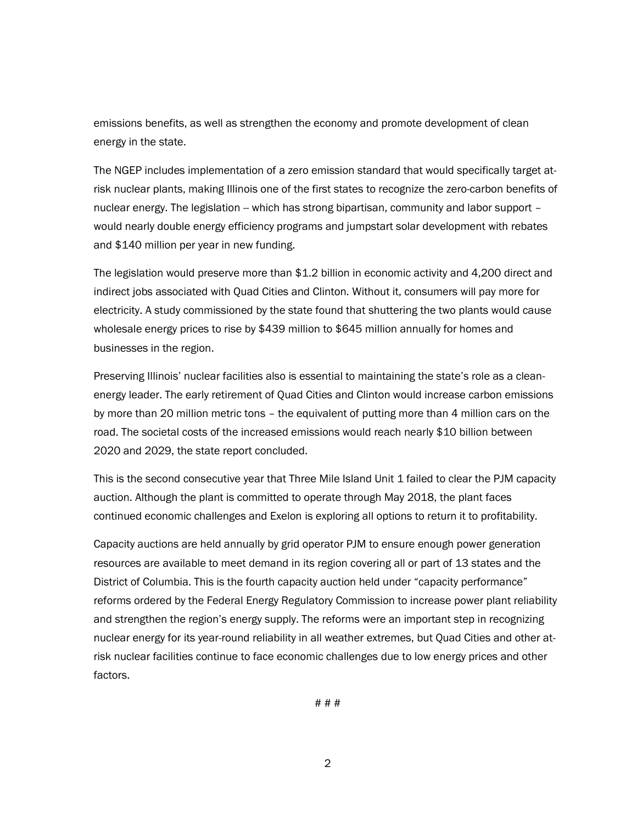emissions benefits, as well as strengthen the economy and promote development of clean energy in the state.

The NGEP includes implementation of a zero emission standard that would specifically target atrisk nuclear plants, making Illinois one of the first states to recognize the zero-carbon benefits of nuclear energy. The legislation -- which has strong bipartisan, community and labor support would nearly double energy efficiency programs and jumpstart solar development with rebates and \$140 million per year in new funding.

The legislation would preserve more than \$1.2 billion in economic activity and 4,200 direct and indirect jobs associated with Quad Cities and Clinton. Without it, consumers will pay more for electricity. A study commissioned by the state found that shuttering the two plants would cause wholesale energy prices to rise by \$439 million to \$645 million annually for homes and businesses in the region.

Preserving Illinois' nuclear facilities also is essential to maintaining the state's role as a cleanenergy leader. The early retirement of Quad Cities and Clinton would increase carbon emissions by more than 20 million metric tons – the equivalent of putting more than 4 million cars on the road. The societal costs of the increased emissions would reach nearly \$10 billion between 2020 and 2029, the state report concluded.

This is the second consecutive year that Three Mile Island Unit 1 failed to clear the PJM capacity auction. Although the plant is committed to operate through May 2018, the plant faces continued economic challenges and Exelon is exploring all options to return it to profitability.

Capacity auctions are held annually by grid operator PJM to ensure enough power generation resources are available to meet demand in its region covering all or part of 13 states and the District of Columbia. This is the fourth capacity auction held under "capacity performance" reforms ordered by the Federal Energy Regulatory Commission to increase power plant reliability and strengthen the region's energy supply. The reforms were an important step in recognizing nuclear energy for its year-round reliability in all weather extremes, but Quad Cities and other atrisk nuclear facilities continue to face economic challenges due to low energy prices and other factors.

# # #